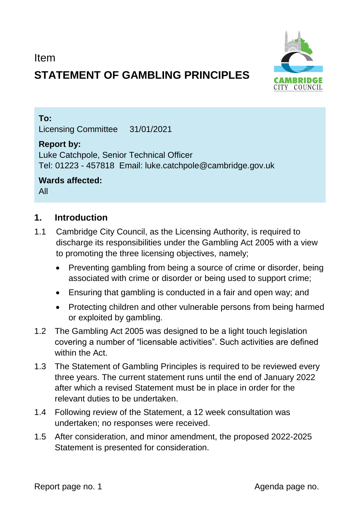Item

# **STATEMENT OF GAMBLING PRINCIPLES**



#### **To:**

Licensing Committee 31/01/2021

## **Report by:**

Luke Catchpole, Senior Technical Officer Tel: 01223 - 457818 Email: luke.catchpole@cambridge.gov.uk

**Wards affected:**  All

## **1. Introduction**

- 1.1 Cambridge City Council, as the Licensing Authority, is required to discharge its responsibilities under the Gambling Act 2005 with a view to promoting the three licensing objectives, namely;
	- Preventing gambling from being a source of crime or disorder, being associated with crime or disorder or being used to support crime;
	- Ensuring that gambling is conducted in a fair and open way; and
	- Protecting children and other vulnerable persons from being harmed or exploited by gambling.
- 1.2 The Gambling Act 2005 was designed to be a light touch legislation covering a number of "licensable activities". Such activities are defined within the Act.
- 1.3 The Statement of Gambling Principles is required to be reviewed every three years. The current statement runs until the end of January 2022 after which a revised Statement must be in place in order for the relevant duties to be undertaken.
- 1.4 Following review of the Statement, a 12 week consultation was undertaken; no responses were received.
- 1.5 After consideration, and minor amendment, the proposed 2022-2025 Statement is presented for consideration.

Report page no. 1 and 1 and 2 and 2 and 2 and 2 and 2 and 2 and 2 and 2 and 2 and 2 and 2 and 2 and 2 and 2 and 2 and 2 and 2 and 2 and 2 and 2 and 2 and 2 and 2 and 2 and 2 and 2 and 2 and 2 and 2 and 2 and 2 and 2 and 2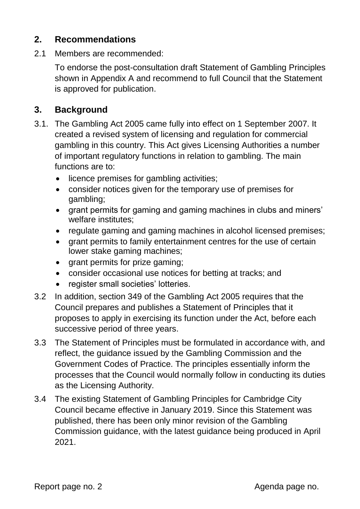# **2. Recommendations**

2.1 Members are recommended:

To endorse the post-consultation draft Statement of Gambling Principles shown in Appendix A and recommend to full Council that the Statement is approved for publication.

## **3. Background**

- 3.1. The Gambling Act 2005 came fully into effect on 1 September 2007. It created a revised system of licensing and regulation for commercial gambling in this country. This Act gives Licensing Authorities a number of important regulatory functions in relation to gambling. The main functions are to:
	- licence premises for gambling activities;
	- consider notices given for the temporary use of premises for gambling;
	- grant permits for gaming and gaming machines in clubs and miners' welfare institutes;
	- regulate gaming and gaming machines in alcohol licensed premises;
	- grant permits to family entertainment centres for the use of certain lower stake gaming machines;
	- grant permits for prize gaming;
	- consider occasional use notices for betting at tracks; and
	- register small societies' lotteries.
- 3.2 In addition, section 349 of the Gambling Act 2005 requires that the Council prepares and publishes a Statement of Principles that it proposes to apply in exercising its function under the Act, before each successive period of three years.
- 3.3 The Statement of Principles must be formulated in accordance with, and reflect, the guidance issued by the Gambling Commission and the Government Codes of Practice. The principles essentially inform the processes that the Council would normally follow in conducting its duties as the Licensing Authority.
- 3.4 The existing Statement of Gambling Principles for Cambridge City Council became effective in January 2019. Since this Statement was published, there has been only minor revision of the Gambling Commission guidance, with the latest guidance being produced in April 2021.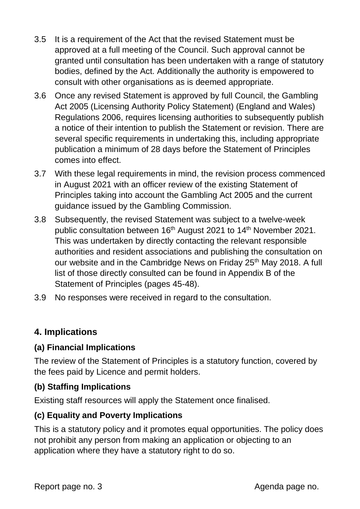- 3.5 It is a requirement of the Act that the revised Statement must be approved at a full meeting of the Council. Such approval cannot be granted until consultation has been undertaken with a range of statutory bodies, defined by the Act. Additionally the authority is empowered to consult with other organisations as is deemed appropriate.
- 3.6 Once any revised Statement is approved by full Council, the Gambling Act 2005 (Licensing Authority Policy Statement) (England and Wales) Regulations 2006, requires licensing authorities to subsequently publish a notice of their intention to publish the Statement or revision. There are several specific requirements in undertaking this, including appropriate publication a minimum of 28 days before the Statement of Principles comes into effect.
- 3.7 With these legal requirements in mind, the revision process commenced in August 2021 with an officer review of the existing Statement of Principles taking into account the Gambling Act 2005 and the current guidance issued by the Gambling Commission.
- 3.8 Subsequently, the revised Statement was subject to a twelve-week public consultation between 16<sup>th</sup> August 2021 to 14<sup>th</sup> November 2021. This was undertaken by directly contacting the relevant responsible authorities and resident associations and publishing the consultation on our website and in the Cambridge News on Friday 25<sup>th</sup> May 2018. A full list of those directly consulted can be found in Appendix B of the Statement of Principles (pages 45-48).
- 3.9 No responses were received in regard to the consultation.

# **4. Implications**

#### **(a) Financial Implications**

The review of the Statement of Principles is a statutory function, covered by the fees paid by Licence and permit holders.

#### **(b) Staffing Implications**

Existing staff resources will apply the Statement once finalised.

#### **(c) Equality and Poverty Implications**

This is a statutory policy and it promotes equal opportunities. The policy does not prohibit any person from making an application or objecting to an application where they have a statutory right to do so.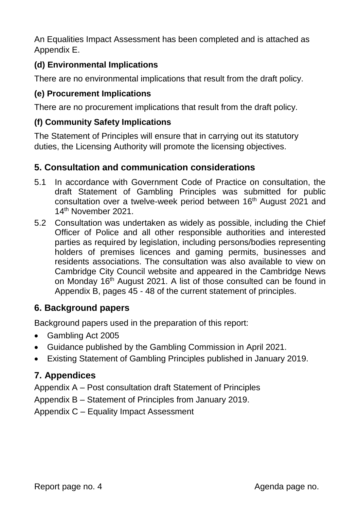An Equalities Impact Assessment has been completed and is attached as Appendix E.

# **(d) Environmental Implications**

There are no environmental implications that result from the draft policy.

# **(e) Procurement Implications**

There are no procurement implications that result from the draft policy.

# **(f) Community Safety Implications**

The Statement of Principles will ensure that in carrying out its statutory duties, the Licensing Authority will promote the licensing objectives.

# **5. Consultation and communication considerations**

- 5.1 In accordance with Government Code of Practice on consultation, the draft Statement of Gambling Principles was submitted for public consultation over a twelve-week period between 16<sup>th</sup> August 2021 and 14th November 2021.
- 5.2 Consultation was undertaken as widely as possible, including the Chief Officer of Police and all other responsible authorities and interested parties as required by legislation, including persons/bodies representing holders of premises licences and gaming permits, businesses and residents associations. The consultation was also available to view on Cambridge City Council website and appeared in the Cambridge News on Monday 16th August 2021. A list of those consulted can be found in Appendix B, pages 45 - 48 of the current statement of principles.

# **6. Background papers**

Background papers used in the preparation of this report:

- Gambling Act 2005
- Guidance published by the Gambling Commission in April 2021.
- Existing Statement of Gambling Principles published in January 2019.

# **7. Appendices**

Appendix A – Post consultation draft Statement of Principles

Appendix B – Statement of Principles from January 2019.

Appendix C – Equality Impact Assessment